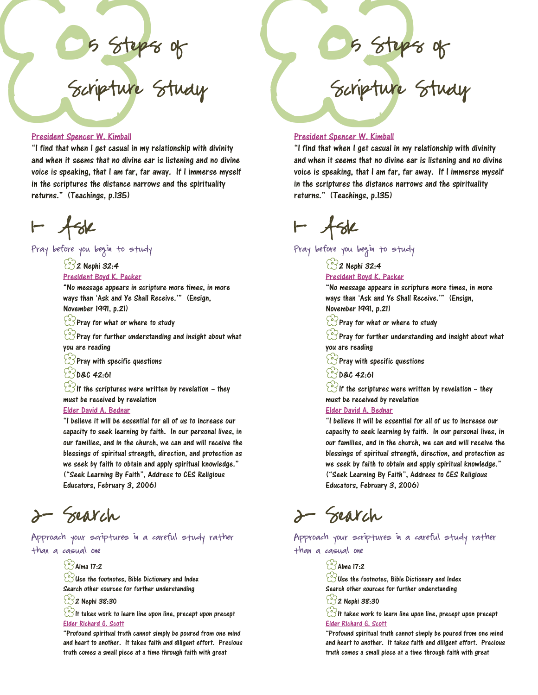5 Steps of

# Sieure & Scripture Study 5

# President Spencer W. Kimball

"I find that when I get casual in my relationship with divinity and when it seems that no divine ear is listening and no divine voice is speaking, that I am far, far away. If I immerse myself in the scriptures the distance narrows and the spirituality returns." (Teachings, p.135)

1- Ask

Pray before you begin to study

 $\bigodot$  2 Nephi 32:4 President Boyd K. Packer

"No message appears in scripture more times, in more ways than "Ask and Ye Shall Receive."" (Ensign,

November 1991, p.21)

 $\bigcirc$  Pray for what or where to study

 $\bigcirc$ Pray for further understanding and insight about what you are reading

 $\bigcirc$ Pray with specific questions

 $22080 - 42.61$ 

 $\bigcirc$ If the scriptures were written by revelation – they must be received by revelation

### Elder David A. Bednar

"I believe it will be essential for all of us to increase our capacity to seek learning by faith. In our personal lives, in our families, and in the church, we can and will receive the blessings of spiritual strength, direction, and protection as we seek by faith to obtain and apply spiritual knowledge." ("Seek Learning By Faith", Address to CES Religious Educators, February 3, 2006)

Search

Approach your scriptures in a careful study rather than a casual one

# $\odot$  Alma 17:2

 $\odot$  Use the footnotes, Bible Dictionary and Index Search other sources for further understanding

 $32$  Nephi 38:30

 $\bigodot$ It takes work to learn line upon line, precept upon precept Elder Richard G. Scott

"Profound spiritual truth cannot simply be poured from one mind and heart to another. It takes faith and diligent effort. Precious truth comes a small piece at a time through faith with great

# President Spencer W. Kimball

5 Steps

"I find that when I get casual in my relationship with divinity and when it seems that no divine ear is listening and no divine voice is speaking, that I am far, far away. If I immerse myself in the scriptures the distance narrows and the spirituality returns." (Teachings, p.135)

5 Steps of

Scripture Study

1- Ask

Pray before you begin to study

**2** Nephi 32:4

President Boyd K. Packer

"No message appears in scripture more times, in more ways than "Ask and Ye Shall Receive."" (Ensign, November 1991, p.21)

 $\bigodot$  Pray for what or where to study

 $\bigcirc$ Pray for further understanding and insight about what you are reading

 $\bigcirc$  Pray with specific questions

 $22080$  42:61

 $\bigcirc$ If the scriptures were written by revelation - they must be received by revelation

# Elder David A. Bednar

"I believe it will be essential for all of us to increase our capacity to seek learning by faith. In our personal lives, in our families, and in the church, we can and will receive the blessings of spiritual strength, direction, and protection as we seek by faith to obtain and apply spiritual knowledge." ("Seek Learning By Faith", Address to CES Religious Educators, February 3, 2006)

2- Search

Approach your scriptures in a careful study rather than a casual one

# $\odot$  Alma 17:2

 $\bigodot$ Use the footnotes, Bible Dictionary and Index Search other sources for further understanding

 $32$  Nephi 38:30

 $\hat{\mathbb{C}}$ It takes work to learn line upon line, precept upon precept Elder Richard G. Scott

"Profound spiritual truth cannot simply be poured from one mind and heart to another. It takes faith and diligent effort. Precious truth comes a small piece at a time through faith with great